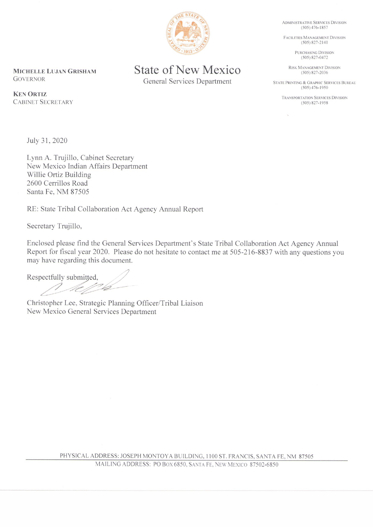**State of New Mexico General Services Department** 

MICHELLE LUJAN GRISHAM **GOVERNOR** 

**KEN ORTIZ CABINET SECRETARY** 

July 31, 2020

Lynn A. Trujillo, Cabinet Secretary New Mexico Indian Affairs Department Willie Ortiz Building 2600 Cerrillos Road Santa Fe, NM 87505

RE: State Tribal Collaboration Act Agency Annual Report

Secretary Trujillo,

Enclosed please find the General Services Department's State Tribal Collaboration Act Agency Annual Report for fiscal year 2020. Please do not hesitate to contact me at 505-216-8837 with any questions you may have regarding this document.

Respectfully submitted, 1 MM/1/2

Christopher Lee, Strategic Planning Officer/Tribal Liaison New Mexico General Services Department

PHYSICAL ADDRESS: JOSEPH MONTOYA BUILDING, 1100 ST. FRANCIS, SANTA FE, NM 87505



**ADMINISTRATIVE SERVICES DIVISION**  $(505) 476 - 1857$ 

FACILITIES MANAGEMENT DIVISION  $(505) 827 - 2141$ 

> PURCHASING DIVISION  $(505) 827 - 0472$

RISK MANAGEMENT DIVISION  $(505) 827 - 2036$ 

STATE PRINTING & GRAPHIC SERVICES BUREAU  $(505)$  476-1950

**TRANSPORTATION SERVICES DIVISION**  $(505) 827 - 1958$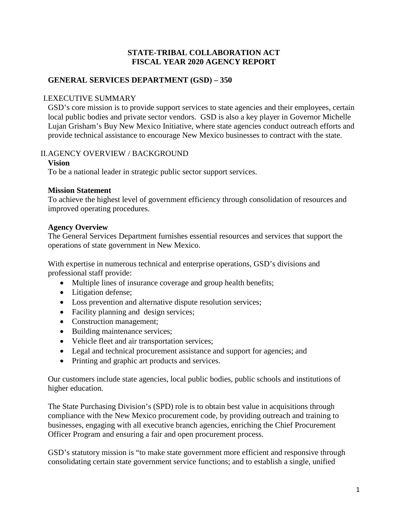## **STATE-TRIBAL COLLABORATION ACT FISCAL YEAR 2020 AGENCY REPORT**

## **GENERAL SERVICES DEPARTMENT (GSD) – 350**

### I.EXECUTIVE SUMMARY

GSD's core mission is to provide support services to state agencies and their employees, certain local public bodies and private sector vendors. GSD is also a key player in Governor Michelle Lujan Grisham's Buy New Mexico Initiative, where state agencies conduct outreach efforts and provide technical assistance to encourage New Mexico businesses to contract with the state.

## II.AGENCY OVERVIEW / BACKGROUND

### **Vision**

To be a national leader in strategic public sector support services.

## **Mission Statement**

To achieve the highest level of government efficiency through consolidation of resources and improved operating procedures.

# **Agency Overview**

The General Services Department furnishes essential resources and services that support the operations of state government in New Mexico.

With expertise in numerous technical and enterprise operations, GSD's divisions and professional staff provide:

- Multiple lines of insurance coverage and group health benefits;
- Litigation defense;
- Loss prevention and alternative dispute resolution services;
- Facility planning and design services;
- Construction management:
- Building maintenance services;
- Vehicle fleet and air transportation services;
- Legal and technical procurement assistance and support for agencies; and
- Printing and graphic art products and services.

Our customers include state agencies, local public bodies, public schools and institutions of higher education.

The State Purchasing Division's (SPD) role is to obtain best value in acquisitions through compliance with the New Mexico procurement code, by providing outreach and training to businesses, engaging with all executive branch agencies, enriching the Chief Procurement Officer Program and ensuring a fair and open procurement process.

GSD's statutory mission is "to make state government more efficient and responsive through consolidating certain state government service functions; and to establish a single, unified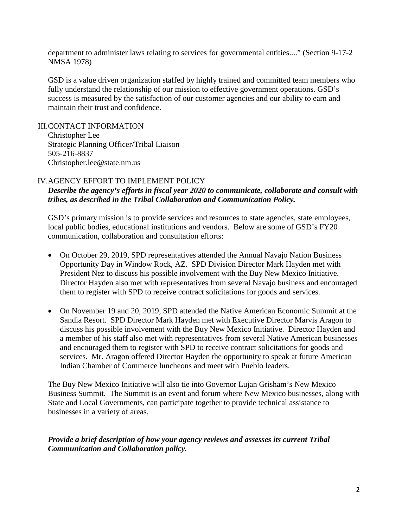department to administer laws relating to services for governmental entities...." (Section 9-17-2 NMSA 1978)

GSD is a value driven organization staffed by highly trained and committed team members who fully understand the relationship of our mission to effective government operations. GSD's success is measured by the satisfaction of our customer agencies and our ability to earn and maintain their trust and confidence.

III.CONTACT INFORMATION

Christopher Lee Strategic Planning Officer/Tribal Liaison 505-216-8837 Christopher.lee@state.nm.us

#### IV.AGENCY EFFORT TO IMPLEMENT POLICY

*Describe the agency's efforts in fiscal year 2020 to communicate, collaborate and consult with tribes, as described in the Tribal Collaboration and Communication Policy.*

GSD's primary mission is to provide services and resources to state agencies, state employees, local public bodies, educational institutions and vendors. Below are some of GSD's FY20 communication, collaboration and consultation efforts:

- On October 29, 2019, SPD representatives attended the Annual Navajo Nation Business Opportunity Day in Window Rock, AZ. SPD Division Director Mark Hayden met with President Nez to discuss his possible involvement with the Buy New Mexico Initiative. Director Hayden also met with representatives from several Navajo business and encouraged them to register with SPD to receive contract solicitations for goods and services.
- On November 19 and 20, 2019, SPD attended the Native American Economic Summit at the Sandia Resort. SPD Director Mark Hayden met with Executive Director Marvis Aragon to discuss his possible involvement with the Buy New Mexico Initiative. Director Hayden and a member of his staff also met with representatives from several Native American businesses and encouraged them to register with SPD to receive contract solicitations for goods and services. Mr. Aragon offered Director Hayden the opportunity to speak at future American Indian Chamber of Commerce luncheons and meet with Pueblo leaders.

The Buy New Mexico Initiative will also tie into Governor Lujan Grisham's New Mexico Business Summit. The Summit is an event and forum where New Mexico businesses, along with State and Local Governments, can participate together to provide technical assistance to businesses in a variety of areas.

#### *Provide a brief description of how your agency reviews and assesses its current Tribal Communication and Collaboration policy.*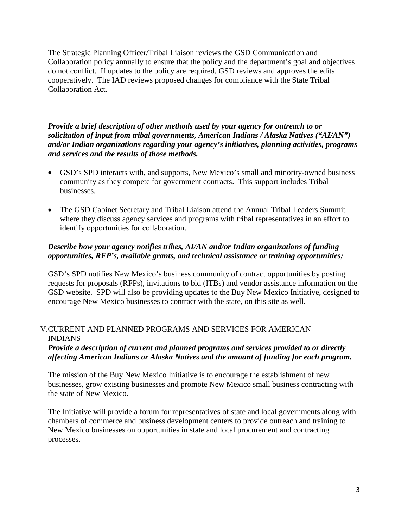The Strategic Planning Officer/Tribal Liaison reviews the GSD Communication and Collaboration policy annually to ensure that the policy and the department's goal and objectives do not conflict. If updates to the policy are required, GSD reviews and approves the edits cooperatively. The IAD reviews proposed changes for compliance with the State Tribal Collaboration Act.

*Provide a brief description of other methods used by your agency for outreach to or solicitation of input from tribal governments, American Indians / Alaska Natives ("AI/AN") and/or Indian organizations regarding your agency's initiatives, planning activities, programs and services and the results of those methods.*

- GSD's SPD interacts with, and supports, New Mexico's small and minority-owned business community as they compete for government contracts. This support includes Tribal businesses.
- The GSD Cabinet Secretary and Tribal Liaison attend the Annual Tribal Leaders Summit where they discuss agency services and programs with tribal representatives in an effort to identify opportunities for collaboration.

## *Describe how your agency notifies tribes, AI/AN and/or Indian organizations of funding opportunities, RFP's, available grants, and technical assistance or training opportunities;*

GSD's SPD notifies New Mexico's business community of contract opportunities by posting requests for proposals (RFPs), invitations to bid (ITBs) and vendor assistance information on the GSD website. SPD will also be providing updates to the Buy New Mexico Initiative, designed to encourage New Mexico businesses to contract with the state, on this site as well.

## V.CURRENT AND PLANNED PROGRAMS AND SERVICES FOR AMERICAN INDIANS

## *Provide a description of current and planned programs and services provided to or directly affecting American Indians or Alaska Natives and the amount of funding for each program.*

The mission of the Buy New Mexico Initiative is to encourage the establishment of new businesses, grow existing businesses and promote New Mexico small business contracting with the state of New Mexico.

The Initiative will provide a forum for representatives of state and local governments along with chambers of commerce and business development centers to provide outreach and training to New Mexico businesses on opportunities in state and local procurement and contracting processes.